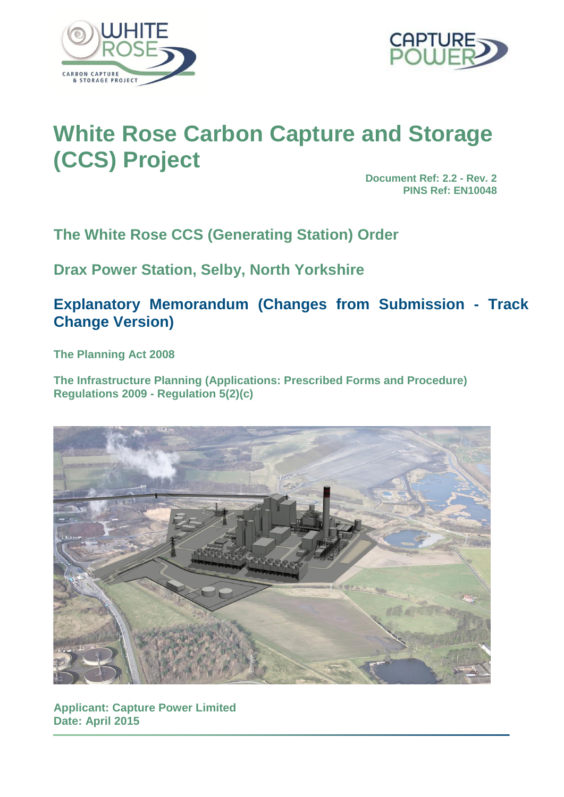



# **White Rose Carbon Capture and Storage (CCS) Project**

**Document Ref: 2.2 - Rev. 2 PINS Ref: EN10048**

**The White Rose CCS (Generating Station) Order**

**Drax Power Station, Selby, North Yorkshire**

**Explanatory Memorandum (Changes from Submission - Track Change Version)** 

**The Planning Act 2008** 

**The Infrastructure Planning (Applications: Prescribed Forms and Procedure) Regulations 2009 - Regulation 5(2)(c)**



**Applicant: Capture Power Limited Date: April 2015**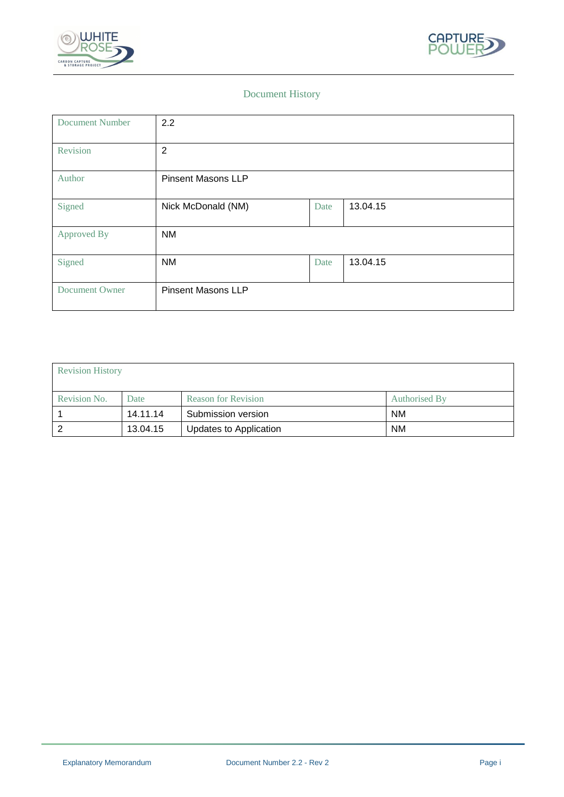



# Document History

| <b>Document Number</b> | 2.2                       |      |          |
|------------------------|---------------------------|------|----------|
| Revision               | $\overline{2}$            |      |          |
| Author                 | <b>Pinsent Masons LLP</b> |      |          |
| Signed                 | Nick McDonald (NM)        | Date | 13.04.15 |
| Approved By            | <b>NM</b>                 |      |          |
| Signed                 | <b>NM</b>                 | Date | 13.04.15 |
| Document Owner         | <b>Pinsent Masons LLP</b> |      |          |

| <b>Revision History</b> |          |                            |               |  |  |
|-------------------------|----------|----------------------------|---------------|--|--|
| Revision No.            | Date     | <b>Reason for Revision</b> | Authorised By |  |  |
|                         | 14.11.14 | Submission version         | <b>NM</b>     |  |  |
|                         | 13.04.15 | Updates to Application     | <b>NM</b>     |  |  |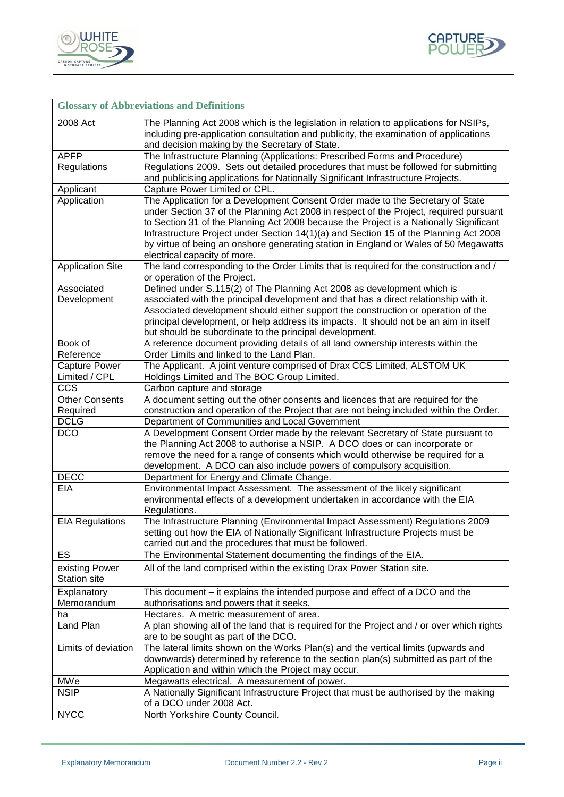



| <b>Glossary of Abbreviations and Definitions</b> |                                                                                                                                                                            |  |  |  |
|--------------------------------------------------|----------------------------------------------------------------------------------------------------------------------------------------------------------------------------|--|--|--|
| 2008 Act                                         | The Planning Act 2008 which is the legislation in relation to applications for NSIPs,                                                                                      |  |  |  |
|                                                  | including pre-application consultation and publicity, the examination of applications<br>and decision making by the Secretary of State.                                    |  |  |  |
| <b>APFP</b>                                      | The Infrastructure Planning (Applications: Prescribed Forms and Procedure)                                                                                                 |  |  |  |
| Regulations                                      | Regulations 2009. Sets out detailed procedures that must be followed for submitting                                                                                        |  |  |  |
|                                                  | and publicising applications for Nationally Significant Infrastructure Projects.                                                                                           |  |  |  |
| Applicant                                        | Capture Power Limited or CPL.                                                                                                                                              |  |  |  |
| Application                                      | The Application for a Development Consent Order made to the Secretary of State                                                                                             |  |  |  |
|                                                  | under Section 37 of the Planning Act 2008 in respect of the Project, required pursuant                                                                                     |  |  |  |
|                                                  | to Section 31 of the Planning Act 2008 because the Project is a Nationally Significant                                                                                     |  |  |  |
|                                                  | Infrastructure Project under Section 14(1)(a) and Section 15 of the Planning Act 2008                                                                                      |  |  |  |
|                                                  | by virtue of being an onshore generating station in England or Wales of 50 Megawatts                                                                                       |  |  |  |
|                                                  | electrical capacity of more.                                                                                                                                               |  |  |  |
| <b>Application Site</b>                          | The land corresponding to the Order Limits that is required for the construction and /                                                                                     |  |  |  |
|                                                  | or operation of the Project.                                                                                                                                               |  |  |  |
| Associated                                       | Defined under S.115(2) of The Planning Act 2008 as development which is                                                                                                    |  |  |  |
| Development                                      | associated with the principal development and that has a direct relationship with it.                                                                                      |  |  |  |
|                                                  | Associated development should either support the construction or operation of the<br>principal development, or help address its impacts. It should not be an aim in itself |  |  |  |
|                                                  | but should be subordinate to the principal development.                                                                                                                    |  |  |  |
| Book of                                          | A reference document providing details of all land ownership interests within the                                                                                          |  |  |  |
| Reference                                        | Order Limits and linked to the Land Plan.                                                                                                                                  |  |  |  |
| Capture Power                                    | The Applicant. A joint venture comprised of Drax CCS Limited, ALSTOM UK                                                                                                    |  |  |  |
| Limited / CPL                                    | Holdings Limited and The BOC Group Limited.                                                                                                                                |  |  |  |
| CCS                                              | Carbon capture and storage                                                                                                                                                 |  |  |  |
| <b>Other Consents</b>                            | A document setting out the other consents and licences that are required for the                                                                                           |  |  |  |
| Required                                         | construction and operation of the Project that are not being included within the Order.                                                                                    |  |  |  |
| <b>DCLG</b>                                      | Department of Communities and Local Government                                                                                                                             |  |  |  |
| <b>DCO</b>                                       | A Development Consent Order made by the relevant Secretary of State pursuant to                                                                                            |  |  |  |
|                                                  | the Planning Act 2008 to authorise a NSIP. A DCO does or can incorporate or                                                                                                |  |  |  |
|                                                  | remove the need for a range of consents which would otherwise be required for a                                                                                            |  |  |  |
| <b>DECC</b>                                      | development. A DCO can also include powers of compulsory acquisition.                                                                                                      |  |  |  |
| <b>EIA</b>                                       | Department for Energy and Climate Change.<br>Environmental Impact Assessment. The assessment of the likely significant                                                     |  |  |  |
|                                                  | environmental effects of a development undertaken in accordance with the EIA                                                                                               |  |  |  |
|                                                  | Regulations.                                                                                                                                                               |  |  |  |
| <b>EIA Regulations</b>                           | The Infrastructure Planning (Environmental Impact Assessment) Regulations 2009                                                                                             |  |  |  |
|                                                  | setting out how the EIA of Nationally Significant Infrastructure Projects must be                                                                                          |  |  |  |
|                                                  | carried out and the procedures that must be followed.                                                                                                                      |  |  |  |
| ES                                               | The Environmental Statement documenting the findings of the EIA.                                                                                                           |  |  |  |
| existing Power                                   | All of the land comprised within the existing Drax Power Station site.                                                                                                     |  |  |  |
| <b>Station site</b>                              |                                                                                                                                                                            |  |  |  |
| Explanatory                                      | This document - it explains the intended purpose and effect of a DCO and the                                                                                               |  |  |  |
| Memorandum                                       | authorisations and powers that it seeks.                                                                                                                                   |  |  |  |
| ha                                               | Hectares. A metric measurement of area.                                                                                                                                    |  |  |  |
| Land Plan                                        | A plan showing all of the land that is required for the Project and / or over which rights                                                                                 |  |  |  |
|                                                  | are to be sought as part of the DCO.                                                                                                                                       |  |  |  |
| Limits of deviation                              | The lateral limits shown on the Works Plan(s) and the vertical limits (upwards and                                                                                         |  |  |  |
|                                                  | downwards) determined by reference to the section plan(s) submitted as part of the                                                                                         |  |  |  |
| MWe                                              | Application and within which the Project may occur.                                                                                                                        |  |  |  |
| <b>NSIP</b>                                      | Megawatts electrical. A measurement of power.<br>A Nationally Significant Infrastructure Project that must be authorised by the making                                     |  |  |  |
|                                                  | of a DCO under 2008 Act.                                                                                                                                                   |  |  |  |
| <b>NYCC</b>                                      | North Yorkshire County Council.                                                                                                                                            |  |  |  |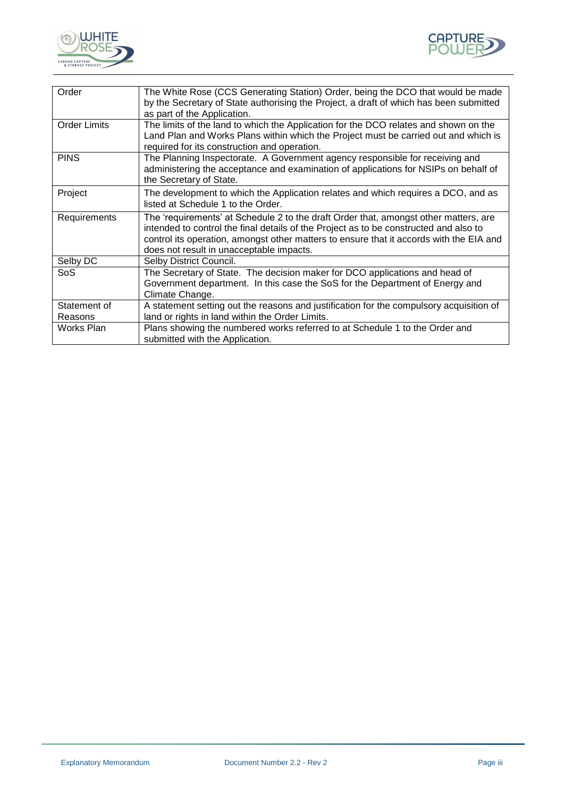



| Order                   | The White Rose (CCS Generating Station) Order, being the DCO that would be made<br>by the Secretary of State authorising the Project, a draft of which has been submitted<br>as part of the Application.                                                                                                             |
|-------------------------|----------------------------------------------------------------------------------------------------------------------------------------------------------------------------------------------------------------------------------------------------------------------------------------------------------------------|
| <b>Order Limits</b>     | The limits of the land to which the Application for the DCO relates and shown on the<br>Land Plan and Works Plans within which the Project must be carried out and which is<br>required for its construction and operation.                                                                                          |
| <b>PINS</b>             | The Planning Inspectorate. A Government agency responsible for receiving and<br>administering the acceptance and examination of applications for NSIPs on behalf of<br>the Secretary of State.                                                                                                                       |
| Project                 | The development to which the Application relates and which requires a DCO, and as<br>listed at Schedule 1 to the Order.                                                                                                                                                                                              |
| Requirements            | The 'requirements' at Schedule 2 to the draft Order that, amongst other matters, are<br>intended to control the final details of the Project as to be constructed and also to<br>control its operation, amongst other matters to ensure that it accords with the EIA and<br>does not result in unacceptable impacts. |
| Selby DC                | Selby District Council.                                                                                                                                                                                                                                                                                              |
| <b>SoS</b>              | The Secretary of State. The decision maker for DCO applications and head of<br>Government department. In this case the SoS for the Department of Energy and<br>Climate Change.                                                                                                                                       |
| Statement of<br>Reasons | A statement setting out the reasons and justification for the compulsory acquisition of<br>land or rights in land within the Order Limits.                                                                                                                                                                           |
| Works Plan              | Plans showing the numbered works referred to at Schedule 1 to the Order and<br>submitted with the Application.                                                                                                                                                                                                       |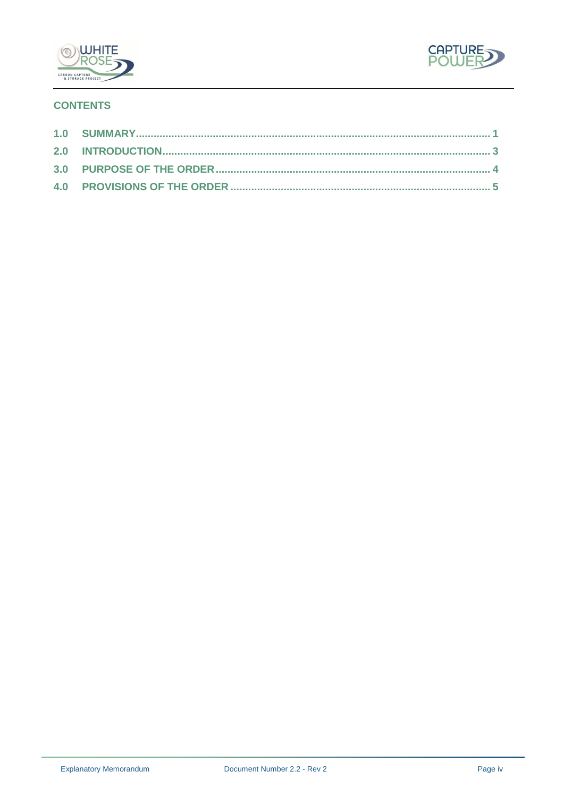



# **CONTENTS**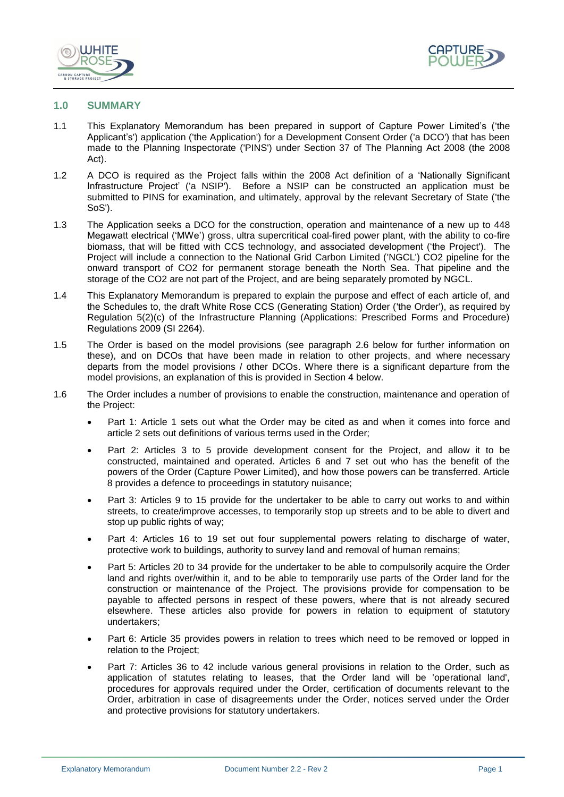



#### <span id="page-5-0"></span>**1.0 SUMMARY**

- 1.1 This Explanatory Memorandum has been prepared in support of Capture Power Limited's ('the Applicant's') application ('the Application') for a Development Consent Order ('a DCO') that has been made to the Planning Inspectorate ('PINS') under Section 37 of The Planning Act 2008 (the 2008 Act).
- 1.2 A DCO is required as the Project falls within the 2008 Act definition of a 'Nationally Significant Infrastructure Project' ('a NSIP'). Before a NSIP can be constructed an application must be submitted to PINS for examination, and ultimately, approval by the relevant Secretary of State ('the SoS').
- 1.3 The Application seeks a DCO for the construction, operation and maintenance of a new up to 448 Megawatt electrical ('MWe') gross, ultra supercritical coal-fired power plant, with the ability to co-fire biomass, that will be fitted with CCS technology, and associated development ('the Project'). The Project will include a connection to the National Grid Carbon Limited ('NGCL') CO2 pipeline for the onward transport of CO2 for permanent storage beneath the North Sea. That pipeline and the storage of the CO2 are not part of the Project, and are being separately promoted by NGCL.
- 1.4 This Explanatory Memorandum is prepared to explain the purpose and effect of each article of, and the Schedules to, the draft White Rose CCS (Generating Station) Order ('the Order'), as required by Regulation 5(2)(c) of the Infrastructure Planning (Applications: Prescribed Forms and Procedure) Regulations 2009 (SI 2264).
- 1.5 The Order is based on the model provisions (see paragraph 2.6 below for further information on these), and on DCOs that have been made in relation to other projects, and where necessary departs from the model provisions / other DCOs. Where there is a significant departure from the model provisions, an explanation of this is provided in Section 4 below.
- 1.6 The Order includes a number of provisions to enable the construction, maintenance and operation of the Project:
	- Part 1: Article 1 sets out what the Order may be cited as and when it comes into force and article 2 sets out definitions of various terms used in the Order;
	- Part 2: Articles 3 to 5 provide development consent for the Project, and allow it to be constructed, maintained and operated. Articles 6 and 7 set out who has the benefit of the powers of the Order (Capture Power Limited), and how those powers can be transferred. Article 8 provides a defence to proceedings in statutory nuisance;
	- Part 3: Articles 9 to 15 provide for the undertaker to be able to carry out works to and within streets, to create/improve accesses, to temporarily stop up streets and to be able to divert and stop up public rights of way;
	- Part 4: Articles 16 to 19 set out four supplemental powers relating to discharge of water, protective work to buildings, authority to survey land and removal of human remains;
	- Part 5: Articles 20 to 34 provide for the undertaker to be able to compulsorily acquire the Order land and rights over/within it, and to be able to temporarily use parts of the Order land for the construction or maintenance of the Project. The provisions provide for compensation to be payable to affected persons in respect of these powers, where that is not already secured elsewhere. These articles also provide for powers in relation to equipment of statutory undertakers;
	- Part 6: Article 35 provides powers in relation to trees which need to be removed or lopped in relation to the Project;
	- Part 7: Articles 36 to 42 include various general provisions in relation to the Order, such as application of statutes relating to leases, that the Order land will be 'operational land', procedures for approvals required under the Order, certification of documents relevant to the Order, arbitration in case of disagreements under the Order, notices served under the Order and protective provisions for statutory undertakers.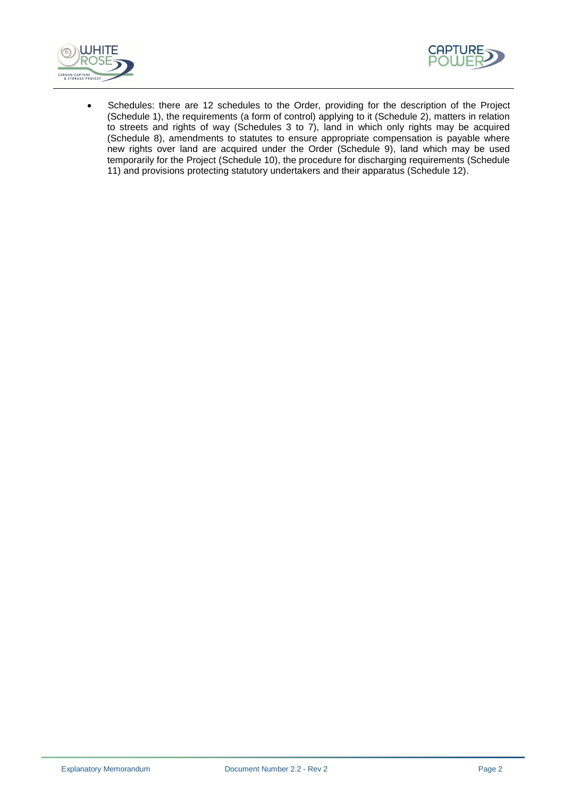



 Schedules: there are 12 schedules to the Order, providing for the description of the Project (Schedule 1), the requirements (a form of control) applying to it (Schedule 2), matters in relation to streets and rights of way (Schedules 3 to 7), land in which only rights may be acquired (Schedule 8), amendments to statutes to ensure appropriate compensation is payable where new rights over land are acquired under the Order (Schedule 9), land which may be used temporarily for the Project (Schedule 10), the procedure for discharging requirements (Schedule 11) and provisions protecting statutory undertakers and their apparatus (Schedule 12).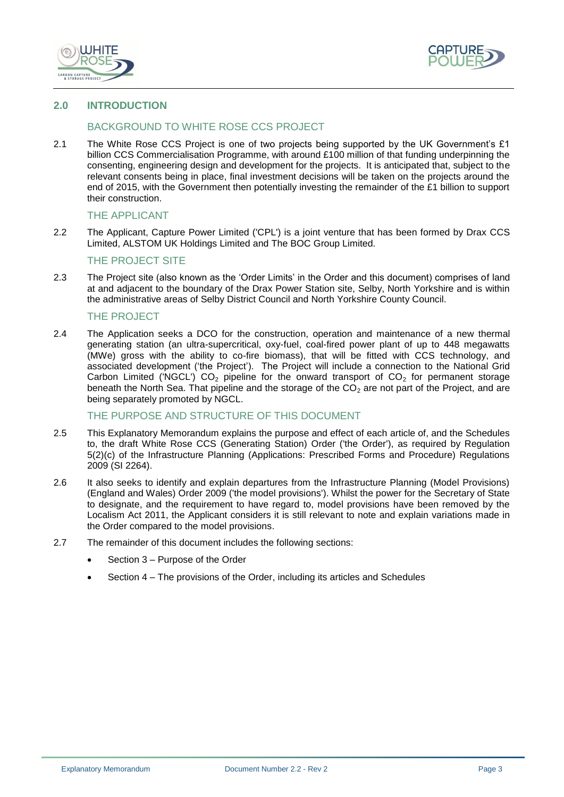



# <span id="page-7-0"></span>**2.0 INTRODUCTION**

# BACKGROUND TO WHITE ROSE CCS PROJECT

2.1 The White Rose CCS Project is one of two projects being supported by the UK Government's £1 billion CCS Commercialisation Programme, with around £100 million of that funding underpinning the consenting, engineering design and development for the projects. It is anticipated that, subject to the relevant consents being in place, final investment decisions will be taken on the projects around the end of 2015, with the Government then potentially investing the remainder of the £1 billion to support their construction.

#### THE APPLICANT

2.2 The Applicant, Capture Power Limited ('CPL') is a joint venture that has been formed by Drax CCS Limited, ALSTOM UK Holdings Limited and The BOC Group Limited.

#### THE PROJECT SITE

2.3 The Project site (also known as the 'Order Limits' in the Order and this document) comprises of land at and adjacent to the boundary of the Drax Power Station site, Selby, North Yorkshire and is within the administrative areas of Selby District Council and North Yorkshire County Council.

### THE PROJECT

2.4 The Application seeks a DCO for the construction, operation and maintenance of a new thermal generating station (an ultra-supercritical, oxy-fuel, coal-fired power plant of up to 448 megawatts (MWe) gross with the ability to co-fire biomass), that will be fitted with CCS technology, and associated development ('the Project'). The Project will include a connection to the National Grid Carbon Limited ('NGCL')  $CO<sub>2</sub>$  pipeline for the onward transport of  $CO<sub>2</sub>$  for permanent storage beneath the North Sea. That pipeline and the storage of the  $CO<sub>2</sub>$  are not part of the Project, and are being separately promoted by NGCL.

#### THE PURPOSE AND STRUCTURE OF THIS DOCUMENT

- 2.5 This Explanatory Memorandum explains the purpose and effect of each article of, and the Schedules to, the draft White Rose CCS (Generating Station) Order ('the Order'), as required by Regulation 5(2)(c) of the Infrastructure Planning (Applications: Prescribed Forms and Procedure) Regulations 2009 (SI 2264).
- 2.6 It also seeks to identify and explain departures from the Infrastructure Planning (Model Provisions) (England and Wales) Order 2009 ('the model provisions'). Whilst the power for the Secretary of State to designate, and the requirement to have regard to, model provisions have been removed by the Localism Act 2011, the Applicant considers it is still relevant to note and explain variations made in the Order compared to the model provisions.
- 2.7 The remainder of this document includes the following sections:
	- Section 3 Purpose of the Order
	- Section 4 The provisions of the Order, including its articles and Schedules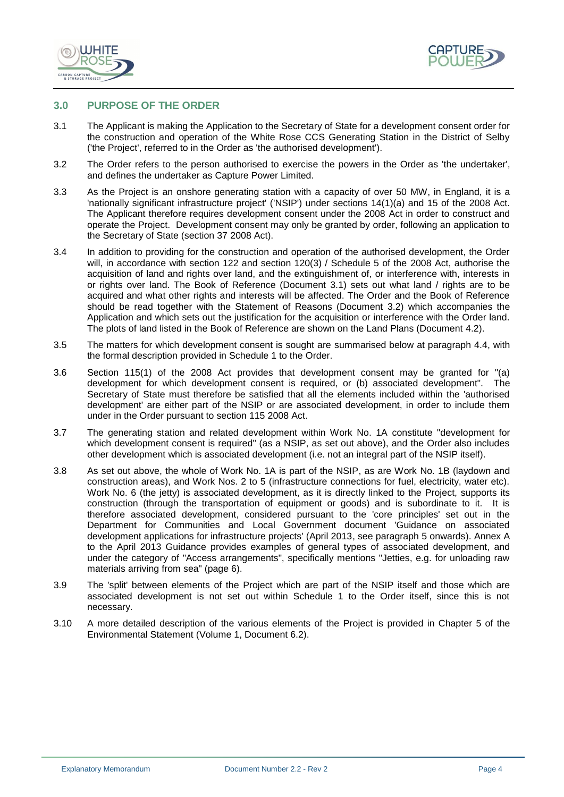



#### <span id="page-8-0"></span>**3.0 PURPOSE OF THE ORDER**

- 3.1 The Applicant is making the Application to the Secretary of State for a development consent order for the construction and operation of the White Rose CCS Generating Station in the District of Selby ('the Project', referred to in the Order as 'the authorised development').
- 3.2 The Order refers to the person authorised to exercise the powers in the Order as 'the undertaker', and defines the undertaker as Capture Power Limited.
- 3.3 As the Project is an onshore generating station with a capacity of over 50 MW, in England, it is a 'nationally significant infrastructure project' ('NSIP') under sections 14(1)(a) and 15 of the 2008 Act. The Applicant therefore requires development consent under the 2008 Act in order to construct and operate the Project. Development consent may only be granted by order, following an application to the Secretary of State (section 37 2008 Act).
- 3.4 In addition to providing for the construction and operation of the authorised development, the Order will, in accordance with section 122 and section 120(3) / Schedule 5 of the 2008 Act, authorise the acquisition of land and rights over land, and the extinguishment of, or interference with, interests in or rights over land. The Book of Reference (Document 3.1) sets out what land / rights are to be acquired and what other rights and interests will be affected. The Order and the Book of Reference should be read together with the Statement of Reasons (Document 3.2) which accompanies the Application and which sets out the justification for the acquisition or interference with the Order land. The plots of land listed in the Book of Reference are shown on the Land Plans (Document 4.2).
- 3.5 The matters for which development consent is sought are summarised below at paragraph 4.4, with the formal description provided in Schedule 1 to the Order.
- 3.6 Section 115(1) of the 2008 Act provides that development consent may be granted for "(a) development for which development consent is required, or (b) associated development". The Secretary of State must therefore be satisfied that all the elements included within the 'authorised development' are either part of the NSIP or are associated development, in order to include them under in the Order pursuant to section 115 2008 Act.
- 3.7 The generating station and related development within Work No. 1A constitute "development for which development consent is required" (as a NSIP, as set out above), and the Order also includes other development which is associated development (i.e. not an integral part of the NSIP itself).
- 3.8 As set out above, the whole of Work No. 1A is part of the NSIP, as are Work No. 1B (laydown and construction areas), and Work Nos. 2 to 5 (infrastructure connections for fuel, electricity, water etc). Work No. 6 (the jetty) is associated development, as it is directly linked to the Project, supports its construction (through the transportation of equipment or goods) and is subordinate to it. It is therefore associated development, considered pursuant to the 'core principles' set out in the Department for Communities and Local Government document 'Guidance on associated development applications for infrastructure projects' (April 2013, see paragraph 5 onwards). Annex A to the April 2013 Guidance provides examples of general types of associated development, and under the category of "Access arrangements", specifically mentions "Jetties, e.g. for unloading raw materials arriving from sea" (page 6).
- 3.9 The 'split' between elements of the Project which are part of the NSIP itself and those which are associated development is not set out within Schedule 1 to the Order itself, since this is not necessary.
- 3.10 A more detailed description of the various elements of the Project is provided in Chapter 5 of the Environmental Statement (Volume 1, Document 6.2).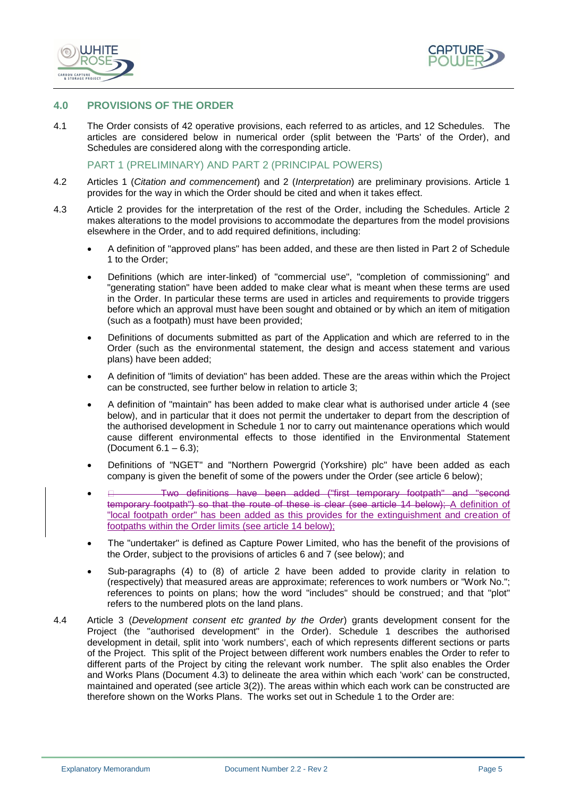



#### <span id="page-9-0"></span>**4.0 PROVISIONS OF THE ORDER**

4.1 The Order consists of 42 operative provisions, each referred to as articles, and 12 Schedules. The articles are considered below in numerical order (split between the 'Parts' of the Order), and Schedules are considered along with the corresponding article.

PART 1 (PRELIMINARY) AND PART 2 (PRINCIPAL POWERS)

- 4.2 Articles 1 (*Citation and commencement*) and 2 (*Interpretation*) are preliminary provisions. Article 1 provides for the way in which the Order should be cited and when it takes effect.
- 4.3 Article 2 provides for the interpretation of the rest of the Order, including the Schedules. Article 2 makes alterations to the model provisions to accommodate the departures from the model provisions elsewhere in the Order, and to add required definitions, including:
	- A definition of "approved plans" has been added, and these are then listed in Part 2 of Schedule 1 to the Order;
	- Definitions (which are inter-linked) of "commercial use", "completion of commissioning" and "generating station" have been added to make clear what is meant when these terms are used in the Order. In particular these terms are used in articles and requirements to provide triggers before which an approval must have been sought and obtained or by which an item of mitigation (such as a footpath) must have been provided;
	- Definitions of documents submitted as part of the Application and which are referred to in the Order (such as the environmental statement, the design and access statement and various plans) have been added;
	- A definition of "limits of deviation" has been added. These are the areas within which the Project can be constructed, see further below in relation to article 3;
	- A definition of "maintain" has been added to make clear what is authorised under article 4 (see below), and in particular that it does not permit the undertaker to depart from the description of the authorised development in Schedule 1 nor to carry out maintenance operations which would cause different environmental effects to those identified in the Environmental Statement (Document 6.1 – 6.3);
	- Definitions of "NGET" and "Northern Powergrid (Yorkshire) plc" have been added as each company is given the benefit of some of the powers under the Order (see article 6 below);
	- Two definitions have been added ("first temporary footpath" and "second temporary footpath") so that the route of these is clear (see article 14 below); A definition of "local footpath order" has been added as this provides for the extinguishment and creation of footpaths within the Order limits (see article 14 below);
	- The "undertaker" is defined as Capture Power Limited, who has the benefit of the provisions of the Order, subject to the provisions of articles 6 and 7 (see below); and
	- Sub-paragraphs (4) to (8) of article 2 have been added to provide clarity in relation to (respectively) that measured areas are approximate; references to work numbers or "Work No."; references to points on plans; how the word "includes" should be construed; and that "plot" refers to the numbered plots on the land plans.
- 4.4 Article 3 (*Development consent etc granted by the Order*) grants development consent for the Project (the "authorised development" in the Order). Schedule 1 describes the authorised development in detail, split into 'work numbers', each of which represents different sections or parts of the Project. This split of the Project between different work numbers enables the Order to refer to different parts of the Project by citing the relevant work number. The split also enables the Order and Works Plans (Document 4.3) to delineate the area within which each 'work' can be constructed, maintained and operated (see article 3(2)). The areas within which each work can be constructed are therefore shown on the Works Plans. The works set out in Schedule 1 to the Order are: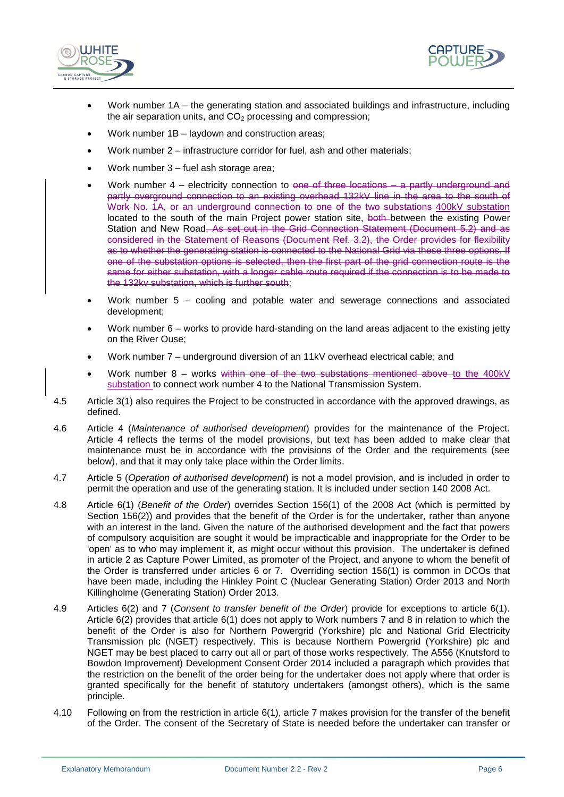



- Work number 1A the generating station and associated buildings and infrastructure, including the air separation units, and  $CO<sub>2</sub>$  processing and compression;
- Work number 1B laydown and construction areas;
- Work number 2 infrastructure corridor for fuel, ash and other materials;
- Work number 3 fuel ash storage area;
- Work number 4 electricity connection to one of three locations a partly underground and partly overground connection to an existing overhead 132kV line in the area to the south of Work No. 1A, or an underground connection to one of the two substations 400kV substation located to the south of the main Project power station site, both between the existing Power Station and New Road. As set out in the Grid Connection Statement (Document 5.2) and as considered in the Statement of Reasons (Document Ref. 3.2), the Order provides for flexibility as to whether the generating station is connected to the National Grid via these three options. If one of the substation options is selected, then the first part of the grid connection route is the same for either substation, with a longer cable route required if the connection is to be made to the 132kv substation, which is further south;
- Work number 5 cooling and potable water and sewerage connections and associated development;
- Work number 6 works to provide hard-standing on the land areas adjacent to the existing jetty on the River Ouse;
- Work number 7 underground diversion of an 11kV overhead electrical cable; and
- Work number  $8 -$  works within one of the two substations mentioned above to the 400kV substation to connect work number 4 to the National Transmission System.
- 4.5 Article 3(1) also requires the Project to be constructed in accordance with the approved drawings, as defined.
- 4.6 Article 4 (*Maintenance of authorised development*) provides for the maintenance of the Project. Article 4 reflects the terms of the model provisions, but text has been added to make clear that maintenance must be in accordance with the provisions of the Order and the requirements (see below), and that it may only take place within the Order limits.
- 4.7 Article 5 (*Operation of authorised development*) is not a model provision, and is included in order to permit the operation and use of the generating station. It is included under section 140 2008 Act.
- 4.8 Article 6(1) (*Benefit of the Order*) overrides Section 156(1) of the 2008 Act (which is permitted by Section 156(2)) and provides that the benefit of the Order is for the undertaker, rather than anyone with an interest in the land. Given the nature of the authorised development and the fact that powers of compulsory acquisition are sought it would be impracticable and inappropriate for the Order to be 'open' as to who may implement it, as might occur without this provision. The undertaker is defined in article 2 as Capture Power Limited, as promoter of the Project, and anyone to whom the benefit of the Order is transferred under articles 6 or 7. Overriding section 156(1) is common in DCOs that have been made, including the Hinkley Point C (Nuclear Generating Station) Order 2013 and North Killingholme (Generating Station) Order 2013.
- 4.9 Articles 6(2) and 7 (*Consent to transfer benefit of the Order*) provide for exceptions to article 6(1). Article 6(2) provides that article 6(1) does not apply to Work numbers 7 and 8 in relation to which the benefit of the Order is also for Northern Powergrid (Yorkshire) plc and National Grid Electricity Transmission plc (NGET) respectively. This is because Northern Powergrid (Yorkshire) plc and NGET may be best placed to carry out all or part of those works respectively. The A556 (Knutsford to Bowdon Improvement) Development Consent Order 2014 included a paragraph which provides that the restriction on the benefit of the order being for the undertaker does not apply where that order is granted specifically for the benefit of statutory undertakers (amongst others), which is the same principle.
- 4.10 Following on from the restriction in article 6(1), article 7 makes provision for the transfer of the benefit of the Order. The consent of the Secretary of State is needed before the undertaker can transfer or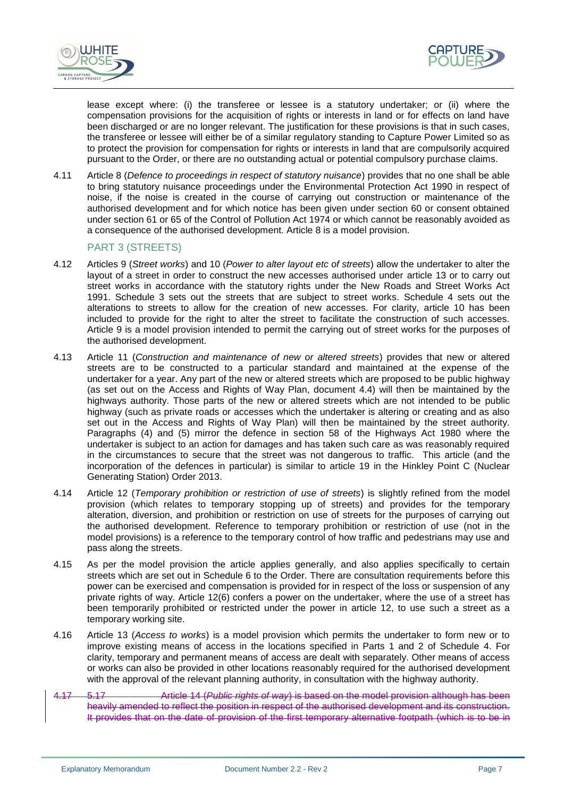



lease except where: (i) the transferee or lessee is a statutory undertaker; or (ii) where the compensation provisions for the acquisition of rights or interests in land or for effects on land have been discharged or are no longer relevant. The justification for these provisions is that in such cases, the transferee or lessee will either be of a similar regulatory standing to Capture Power Limited so as to protect the provision for compensation for rights or interests in land that are compulsorily acquired pursuant to the Order, or there are no outstanding actual or potential compulsory purchase claims.

4.11 Article 8 (*Defence to proceedings in respect of statutory nuisance*) provides that no one shall be able to bring statutory nuisance proceedings under the Environmental Protection Act 1990 in respect of noise, if the noise is created in the course of carrying out construction or maintenance of the authorised development and for which notice has been given under section 60 or consent obtained under section 61 or 65 of the Control of Pollution Act 1974 or which cannot be reasonably avoided as a consequence of the authorised development. Article 8 is a model provision.

#### PART 3 (STREETS)

- 4.12 Articles 9 (*Street works*) and 10 (*Power to alter layout etc of streets*) allow the undertaker to alter the layout of a street in order to construct the new accesses authorised under article 13 or to carry out street works in accordance with the statutory rights under the New Roads and Street Works Act 1991. Schedule 3 sets out the streets that are subject to street works. Schedule 4 sets out the alterations to streets to allow for the creation of new accesses. For clarity, article 10 has been included to provide for the right to alter the street to facilitate the construction of such accesses. Article 9 is a model provision intended to permit the carrying out of street works for the purposes of the authorised development.
- 4.13 Article 11 (*Construction and maintenance of new or altered streets*) provides that new or altered streets are to be constructed to a particular standard and maintained at the expense of the undertaker for a year. Any part of the new or altered streets which are proposed to be public highway (as set out on the Access and Rights of Way Plan, document 4.4) will then be maintained by the highways authority. Those parts of the new or altered streets which are not intended to be public highway (such as private roads or accesses which the undertaker is altering or creating and as also set out in the Access and Rights of Way Plan) will then be maintained by the street authority. Paragraphs (4) and (5) mirror the defence in section 58 of the Highways Act 1980 where the undertaker is subject to an action for damages and has taken such care as was reasonably required in the circumstances to secure that the street was not dangerous to traffic. This article (and the incorporation of the defences in particular) is similar to article 19 in the Hinkley Point C (Nuclear Generating Station) Order 2013.
- 4.14 Article 12 (*Temporary prohibition or restriction of use of streets*) is slightly refined from the model provision (which relates to temporary stopping up of streets) and provides for the temporary alteration, diversion, and prohibition or restriction on use of streets for the purposes of carrying out the authorised development. Reference to temporary prohibition or restriction of use (not in the model provisions) is a reference to the temporary control of how traffic and pedestrians may use and pass along the streets.
- 4.15 As per the model provision the article applies generally, and also applies specifically to certain streets which are set out in Schedule 6 to the Order. There are consultation requirements before this power can be exercised and compensation is provided for in respect of the loss or suspension of any private rights of way. Article 12(6) confers a power on the undertaker, where the use of a street has been temporarily prohibited or restricted under the power in article 12, to use such a street as a temporary working site.
- 4.16 Article 13 (*Access to works*) is a model provision which permits the undertaker to form new or to improve existing means of access in the locations specified in Parts 1 and 2 of Schedule 4. For clarity, temporary and permanent means of access are dealt with separately. Other means of access or works can also be provided in other locations reasonably required for the authorised development with the approval of the relevant planning authority, in consultation with the highway authority.
- 4.17 5.17 Article 14 (*Public rights of way*) is based on the model provision although has been heavily amended to reflect the position in respect of the authorised development and its construction. It provides that on the date of provision of the first temporary alternative footpath (which is to be in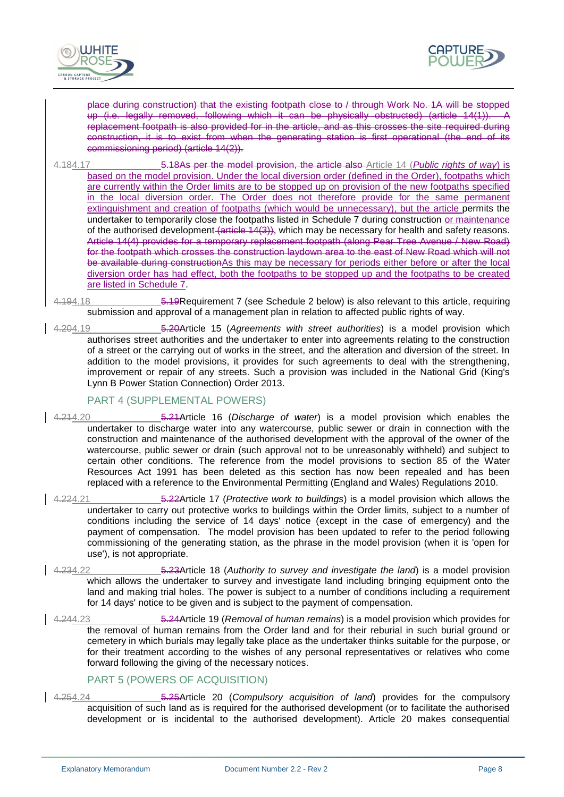



place during construction) that the existing footpath close to / through Work No. 1A will be stopped up (i.e. legally removed, following which it can be physically obstructed) (article 14(1)). A replacement footpath is also provided for in the article, and as this crosses the site required during construction, it is to exist from when the generating station is first operational (the end of its commissioning period) (article 14(2)).

- 4.184.17 5.18As per the model provision, the article also Article 14 (*Public rights of way*) is based on the model provision. Under the local diversion order (defined in the Order), footpaths which are currently within the Order limits are to be stopped up on provision of the new footpaths specified in the local diversion order. The Order does not therefore provide for the same permanent extinguishment and creation of footpaths (which would be unnecessary), but the article permits the undertaker to temporarily close the footpaths listed in Schedule 7 during construction or maintenance of the authorised development (article 14(3)), which may be necessary for health and safety reasons. Article 14(4) provides for a temporary replacement footpath (along Pear Tree Avenue / New Road) for the footpath which crosses the construction laydown area to the east of New Road which will not be available during constructionAs this may be necessary for periods either before or after the local diversion order has had effect, both the footpaths to be stopped up and the footpaths to be created are listed in Schedule 7.
- 4.194.18 5.19Requirement 7 (see Schedule 2 below) is also relevant to this article, requiring submission and approval of a management plan in relation to affected public rights of way.
- 4.204.19 5.20Article 15 (*Agreements with street authorities*) is a model provision which authorises street authorities and the undertaker to enter into agreements relating to the construction of a street or the carrying out of works in the street, and the alteration and diversion of the street. In addition to the model provisions, it provides for such agreements to deal with the strengthening, improvement or repair of any streets. Such a provision was included in the National Grid (King's Lynn B Power Station Connection) Order 2013.

# PART 4 (SUPPLEMENTAL POWERS)

- 4.214.20 5.21Article 16 (*Discharge of water*) is a model provision which enables the undertaker to discharge water into any watercourse, public sewer or drain in connection with the construction and maintenance of the authorised development with the approval of the owner of the watercourse, public sewer or drain (such approval not to be unreasonably withheld) and subject to certain other conditions. The reference from the model provisions to section 85 of the Water Resources Act 1991 has been deleted as this section has now been repealed and has been replaced with a reference to the Environmental Permitting (England and Wales) Regulations 2010.
- 4.224.21 5.22Article 17 (*Protective work to buildings*) is a model provision which allows the undertaker to carry out protective works to buildings within the Order limits, subject to a number of conditions including the service of 14 days' notice (except in the case of emergency) and the payment of compensation. The model provision has been updated to refer to the period following commissioning of the generating station, as the phrase in the model provision (when it is 'open for use'), is not appropriate.
- 4.234.22 5.23Article 18 (*Authority to survey and investigate the land*) is a model provision which allows the undertaker to survey and investigate land including bringing equipment onto the land and making trial holes. The power is subject to a number of conditions including a requirement for 14 days' notice to be given and is subject to the payment of compensation.
- 4.244.23 5.24Article 19 (*Removal of human remains*) is a model provision which provides for the removal of human remains from the Order land and for their reburial in such burial ground or cemetery in which burials may legally take place as the undertaker thinks suitable for the purpose, or for their treatment according to the wishes of any personal representatives or relatives who come forward following the giving of the necessary notices.

#### PART 5 (POWERS OF ACQUISITION)

4.254.24 5.25Article 20 (*Compulsory acquisition of land*) provides for the compulsory acquisition of such land as is required for the authorised development (or to facilitate the authorised development or is incidental to the authorised development). Article 20 makes consequential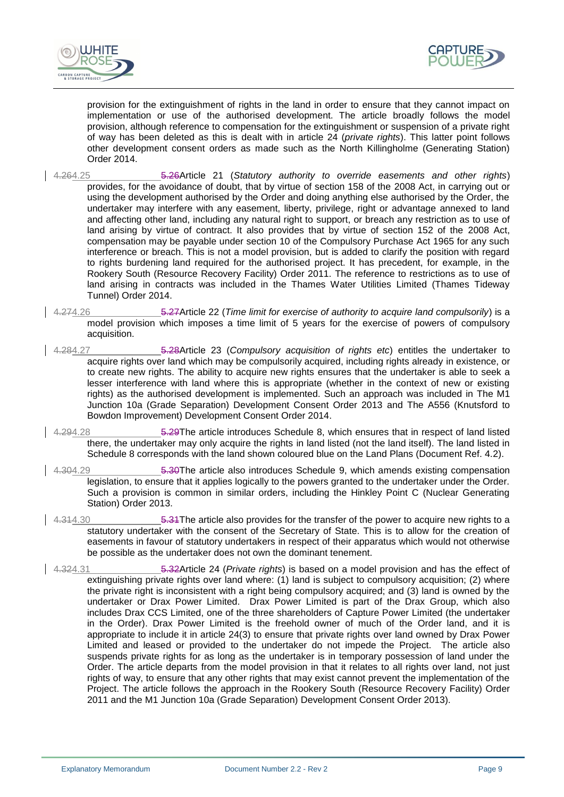



provision for the extinguishment of rights in the land in order to ensure that they cannot impact on implementation or use of the authorised development. The article broadly follows the model provision, although reference to compensation for the extinguishment or suspension of a private right of way has been deleted as this is dealt with in article 24 (*private rights*). This latter point follows other development consent orders as made such as the North Killingholme (Generating Station) Order 2014.

- 4.264.25 5.26Article 21 (*Statutory authority to override easements and other rights*) provides, for the avoidance of doubt, that by virtue of section 158 of the 2008 Act, in carrying out or using the development authorised by the Order and doing anything else authorised by the Order, the undertaker may interfere with any easement, liberty, privilege, right or advantage annexed to land and affecting other land, including any natural right to support, or breach any restriction as to use of land arising by virtue of contract. It also provides that by virtue of section 152 of the 2008 Act, compensation may be payable under section 10 of the Compulsory Purchase Act 1965 for any such interference or breach. This is not a model provision, but is added to clarify the position with regard to rights burdening land required for the authorised project. It has precedent, for example, in the Rookery South (Resource Recovery Facility) Order 2011. The reference to restrictions as to use of land arising in contracts was included in the Thames Water Utilities Limited (Thames Tideway Tunnel) Order 2014.
- 4.274.26 5.27Article 22 (*Time limit for exercise of authority to acquire land compulsorily*) is a model provision which imposes a time limit of 5 years for the exercise of powers of compulsory acquisition.
- 4.284.27 5.28Article 23 (*Compulsory acquisition of rights etc*) entitles the undertaker to acquire rights over land which may be compulsorily acquired, including rights already in existence, or to create new rights. The ability to acquire new rights ensures that the undertaker is able to seek a lesser interference with land where this is appropriate (whether in the context of new or existing rights) as the authorised development is implemented. Such an approach was included in The M1 Junction 10a (Grade Separation) Development Consent Order 2013 and The A556 (Knutsford to Bowdon Improvement) Development Consent Order 2014.
- 4.294.28 5.29The article introduces Schedule 8, which ensures that in respect of land listed there, the undertaker may only acquire the rights in land listed (not the land itself). The land listed in Schedule 8 corresponds with the land shown coloured blue on the Land Plans (Document Ref. 4.2).
- 4.304.29 5.30The article also introduces Schedule 9, which amends existing compensation legislation, to ensure that it applies logically to the powers granted to the undertaker under the Order. Such a provision is common in similar orders, including the Hinkley Point C (Nuclear Generating Station) Order 2013.
- 4.314.30 **5.31 The article also provides for the transfer of the power to acquire new rights to a** statutory undertaker with the consent of the Secretary of State. This is to allow for the creation of easements in favour of statutory undertakers in respect of their apparatus which would not otherwise be possible as the undertaker does not own the dominant tenement.
- 4.324.31 5.32Article 24 (*Private rights*) is based on a model provision and has the effect of extinguishing private rights over land where: (1) land is subject to compulsory acquisition; (2) where the private right is inconsistent with a right being compulsory acquired; and (3) land is owned by the undertaker or Drax Power Limited. Drax Power Limited is part of the Drax Group, which also includes Drax CCS Limited, one of the three shareholders of Capture Power Limited (the undertaker in the Order). Drax Power Limited is the freehold owner of much of the Order land, and it is appropriate to include it in article 24(3) to ensure that private rights over land owned by Drax Power Limited and leased or provided to the undertaker do not impede the Project. The article also suspends private rights for as long as the undertaker is in temporary possession of land under the Order. The article departs from the model provision in that it relates to all rights over land, not just rights of way, to ensure that any other rights that may exist cannot prevent the implementation of the Project. The article follows the approach in the Rookery South (Resource Recovery Facility) Order 2011 and the M1 Junction 10a (Grade Separation) Development Consent Order 2013).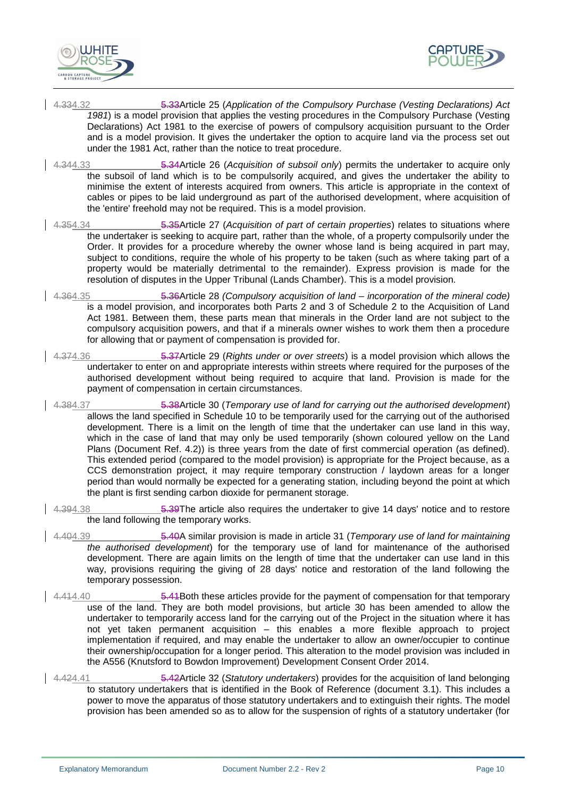



- 4.334.32 5.33Article 25 (*Application of the Compulsory Purchase (Vesting Declarations) Act 1981*) is a model provision that applies the vesting procedures in the Compulsory Purchase (Vesting Declarations) Act 1981 to the exercise of powers of compulsory acquisition pursuant to the Order and is a model provision. It gives the undertaker the option to acquire land via the process set out under the 1981 Act, rather than the notice to treat procedure.
- 4.344.33 5.34Article 26 (*Acquisition of subsoil only*) permits the undertaker to acquire only the subsoil of land which is to be compulsorily acquired, and gives the undertaker the ability to minimise the extent of interests acquired from owners. This article is appropriate in the context of cables or pipes to be laid underground as part of the authorised development, where acquisition of the 'entire' freehold may not be required. This is a model provision.
- 4.354.34 5.35Article 27 (*Acquisition of part of certain properties*) relates to situations where the undertaker is seeking to acquire part, rather than the whole, of a property compulsorily under the Order. It provides for a procedure whereby the owner whose land is being acquired in part may, subject to conditions, require the whole of his property to be taken (such as where taking part of a property would be materially detrimental to the remainder). Express provision is made for the resolution of disputes in the Upper Tribunal (Lands Chamber). This is a model provision.
- 4.364.35 5.36Article 28 *(Compulsory acquisition of land – incorporation of the mineral code)* is a model provision, and incorporates both Parts 2 and 3 of Schedule 2 to the Acquisition of Land Act 1981. Between them, these parts mean that minerals in the Order land are not subject to the compulsory acquisition powers, and that if a minerals owner wishes to work them then a procedure for allowing that or payment of compensation is provided for.
- 4.374.36 5.37Article 29 (*Rights under or over streets*) is a model provision which allows the undertaker to enter on and appropriate interests within streets where required for the purposes of the authorised development without being required to acquire that land. Provision is made for the payment of compensation in certain circumstances.
- 4.384.37 5.38Article 30 (*Temporary use of land for carrying out the authorised development*) allows the land specified in Schedule 10 to be temporarily used for the carrying out of the authorised development. There is a limit on the length of time that the undertaker can use land in this way, which in the case of land that may only be used temporarily (shown coloured yellow on the Land Plans (Document Ref. 4.2)) is three years from the date of first commercial operation (as defined). This extended period (compared to the model provision) is appropriate for the Project because, as a CCS demonstration project, it may require temporary construction / laydown areas for a longer period than would normally be expected for a generating station, including beyond the point at which the plant is first sending carbon dioxide for permanent storage.
- 4.394.38 **5.39The article also requires the undertaker to give 14 days' notice and to restore** the land following the temporary works.
- 4.404.39 5.40A similar provision is made in article 31 (*Temporary use of land for maintaining the authorised development*) for the temporary use of land for maintenance of the authorised development. There are again limits on the length of time that the undertaker can use land in this way, provisions requiring the giving of 28 days' notice and restoration of the land following the temporary possession.
- 4.414.40 5.41Both these articles provide for the payment of compensation for that temporary use of the land. They are both model provisions, but article 30 has been amended to allow the undertaker to temporarily access land for the carrying out of the Project in the situation where it has not yet taken permanent acquisition – this enables a more flexible approach to project implementation if required, and may enable the undertaker to allow an owner/occupier to continue their ownership/occupation for a longer period. This alteration to the model provision was included in the A556 (Knutsford to Bowdon Improvement) Development Consent Order 2014.
- 4.424.41 5.42Article 32 (*Statutory undertakers*) provides for the acquisition of land belonging to statutory undertakers that is identified in the Book of Reference (document 3.1). This includes a power to move the apparatus of those statutory undertakers and to extinguish their rights. The model provision has been amended so as to allow for the suspension of rights of a statutory undertaker (for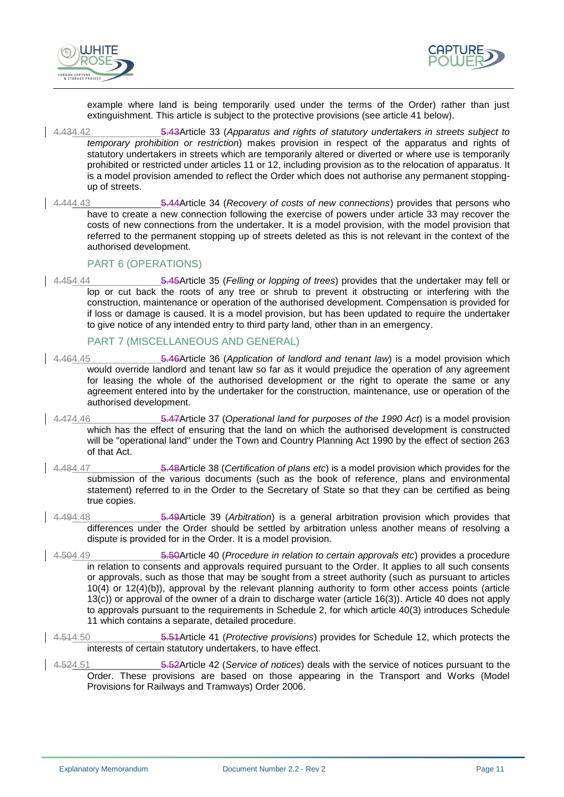



example where land is being temporarily used under the terms of the Order) rather than just extinguishment. This article is subject to the protective provisions (see article 41 below).

- 4.434.42 5.43Article 33 (*Apparatus and rights of statutory undertakers in streets subject to temporary prohibition or restriction*) makes provision in respect of the apparatus and rights of statutory undertakers in streets which are temporarily altered or diverted or where use is temporarily prohibited or restricted under articles 11 or 12, including provision as to the relocation of apparatus. It is a model provision amended to reflect the Order which does not authorise any permanent stoppingup of streets.
- 4.444.43 5.44Article 34 (*Recovery of costs of new connections*) provides that persons who have to create a new connection following the exercise of powers under article 33 may recover the costs of new connections from the undertaker. It is a model provision, with the model provision that referred to the permanent stopping up of streets deleted as this is not relevant in the context of the authorised development.

#### PART 6 (OPERATIONS)

4.454.44 5.45Article 35 (*Felling or lopping of trees*) provides that the undertaker may fell or lop or cut back the roots of any tree or shrub to prevent it obstructing or interfering with the construction, maintenance or operation of the authorised development. Compensation is provided for if loss or damage is caused. It is a model provision, but has been updated to require the undertaker to give notice of any intended entry to third party land, other than in an emergency.

# PART 7 (MISCELLANEOUS AND GENERAL)

- 4.464.45 5.46Article 36 (*Application of landlord and tenant law*) is a model provision which would override landlord and tenant law so far as it would prejudice the operation of any agreement for leasing the whole of the authorised development or the right to operate the same or any agreement entered into by the undertaker for the construction, maintenance, use or operation of the authorised development.
- 4.474.46 5.47Article 37 (*Operational land for purposes of the 1990 Act*) is a model provision which has the effect of ensuring that the land on which the authorised development is constructed will be "operational land" under the Town and Country Planning Act 1990 by the effect of section 263 of that Act.
- 4.484.47 5.48Article 38 (*Certification of plans etc*) is a model provision which provides for the submission of the various documents (such as the book of reference, plans and environmental statement) referred to in the Order to the Secretary of State so that they can be certified as being true copies.
- 4.494.48 5.49Article 39 (*Arbitration*) is a general arbitration provision which provides that differences under the Order should be settled by arbitration unless another means of resolving a dispute is provided for in the Order. It is a model provision.
- 4.504.49 5.50Article 40 (*Procedure in relation to certain approvals etc*) provides a procedure in relation to consents and approvals required pursuant to the Order. It applies to all such consents or approvals, such as those that may be sought from a street authority (such as pursuant to articles 10(4) or 12(4)(b)), approval by the relevant planning authority to form other access points (article 13(c)) or approval of the owner of a drain to discharge water (article 16(3)). Article 40 does not apply to approvals pursuant to the requirements in Schedule 2, for which article 40(3) introduces Schedule 11 which contains a separate, detailed procedure.
- 4.514.50 5.51Article 41 (*Protective provisions*) provides for Schedule 12, which protects the interests of certain statutory undertakers, to have effect.
- 4.524.51 5.52Article 42 (*Service of notices*) deals with the service of notices pursuant to the Order. These provisions are based on those appearing in the Transport and Works (Model Provisions for Railways and Tramways) Order 2006.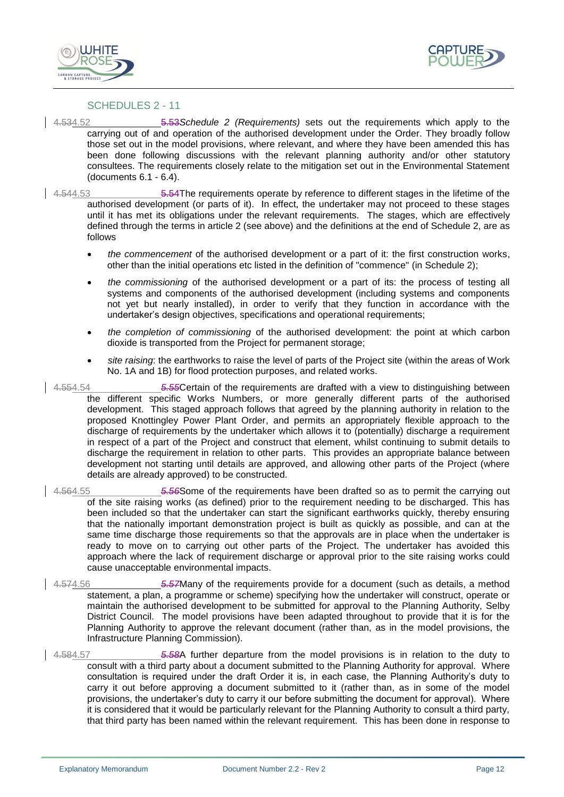



#### SCHEDULES 2 - 11

4.534.52 5.53*Schedule 2 (Requirements)* sets out the requirements which apply to the carrying out of and operation of the authorised development under the Order. They broadly follow those set out in the model provisions, where relevant, and where they have been amended this has been done following discussions with the relevant planning authority and/or other statutory consultees. The requirements closely relate to the mitigation set out in the Environmental Statement (documents 6.1 - 6.4).

4.544.53 5.54The requirements operate by reference to different stages in the lifetime of the authorised development (or parts of it). In effect, the undertaker may not proceed to these stages until it has met its obligations under the relevant requirements. The stages, which are effectively defined through the terms in article 2 (see above) and the definitions at the end of Schedule 2, are as follows

- *the commencement* of the authorised development or a part of it: the first construction works, other than the initial operations etc listed in the definition of "commence" (in Schedule 2);
- *the commissioning* of the authorised development or a part of its: the process of testing all systems and components of the authorised development (including systems and components not yet but nearly installed), in order to verify that they function in accordance with the undertaker's design objectives, specifications and operational requirements;
- *the completion of commissioning* of the authorised development: the point at which carbon dioxide is transported from the Project for permanent storage;
- *site raising*: the earthworks to raise the level of parts of the Project site (within the areas of Work No. 1A and 1B) for flood protection purposes, and related works.
- 4.554.54 *5.55*Certain of the requirements are drafted with a view to distinguishing between the different specific Works Numbers, or more generally different parts of the authorised development. This staged approach follows that agreed by the planning authority in relation to the proposed Knottingley Power Plant Order, and permits an appropriately flexible approach to the discharge of requirements by the undertaker which allows it to (potentially) discharge a requirement in respect of a part of the Project and construct that element, whilst continuing to submit details to discharge the requirement in relation to other parts. This provides an appropriate balance between development not starting until details are approved, and allowing other parts of the Project (where details are already approved) to be constructed.
- 4.564.55 *5.56*Some of the requirements have been drafted so as to permit the carrying out of the site raising works (as defined) prior to the requirement needing to be discharged. This has been included so that the undertaker can start the significant earthworks quickly, thereby ensuring that the nationally important demonstration project is built as quickly as possible, and can at the same time discharge those requirements so that the approvals are in place when the undertaker is ready to move on to carrying out other parts of the Project. The undertaker has avoided this approach where the lack of requirement discharge or approval prior to the site raising works could cause unacceptable environmental impacts.
- 4.574.56 *5.57*Many of the requirements provide for a document (such as details, a method statement, a plan, a programme or scheme) specifying how the undertaker will construct, operate or maintain the authorised development to be submitted for approval to the Planning Authority, Selby District Council. The model provisions have been adapted throughout to provide that it is for the Planning Authority to approve the relevant document (rather than, as in the model provisions, the Infrastructure Planning Commission).
- 4.584.57 *5.58*A further departure from the model provisions is in relation to the duty to consult with a third party about a document submitted to the Planning Authority for approval. Where consultation is required under the draft Order it is, in each case, the Planning Authority's duty to carry it out before approving a document submitted to it (rather than, as in some of the model provisions, the undertaker's duty to carry it our before submitting the document for approval). Where it is considered that it would be particularly relevant for the Planning Authority to consult a third party, that third party has been named within the relevant requirement. This has been done in response to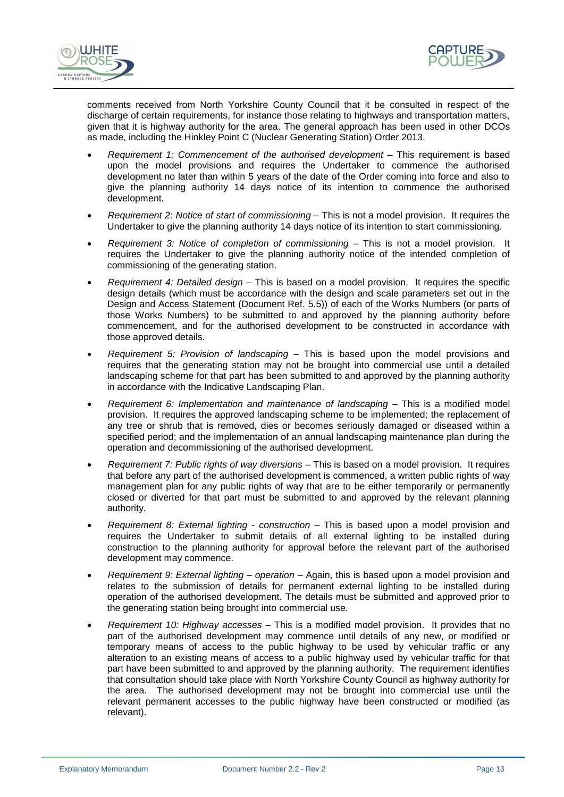



comments received from North Yorkshire County Council that it be consulted in respect of the discharge of certain requirements, for instance those relating to highways and transportation matters, given that it is highway authority for the area. The general approach has been used in other DCOs as made, including the Hinkley Point C (Nuclear Generating Station) Order 2013.

- *Requirement 1: Commencement of the authorised development –* This requirement is based upon the model provisions and requires the Undertaker to commence the authorised development no later than within 5 years of the date of the Order coming into force and also to give the planning authority 14 days notice of its intention to commence the authorised development.
- *Requirement 2: Notice of start of commissioning –* This is not a model provision. It requires the Undertaker to give the planning authority 14 days notice of its intention to start commissioning.
- *Requirement 3: Notice of completion of commissioning –* This is not a model provision. It requires the Undertaker to give the planning authority notice of the intended completion of commissioning of the generating station.
- *Requirement 4: Detailed design –* This is based on a model provision. It requires the specific design details (which must be accordance with the design and scale parameters set out in the Design and Access Statement (Document Ref. 5.5)) of each of the Works Numbers (or parts of those Works Numbers) to be submitted to and approved by the planning authority before commencement, and for the authorised development to be constructed in accordance with those approved details.
- *Requirement 5: Provision of landscaping –* This is based upon the model provisions and requires that the generating station may not be brought into commercial use until a detailed landscaping scheme for that part has been submitted to and approved by the planning authority in accordance with the Indicative Landscaping Plan.
- *Requirement 6: Implementation and maintenance of landscaping –* This is a modified model provision. It requires the approved landscaping scheme to be implemented; the replacement of any tree or shrub that is removed, dies or becomes seriously damaged or diseased within a specified period; and the implementation of an annual landscaping maintenance plan during the operation and decommissioning of the authorised development.
- *Requirement 7: Public rights of way diversions –* This is based on a model provision. It requires that before any part of the authorised development is commenced, a written public rights of way management plan for any public rights of way that are to be either temporarily or permanently closed or diverted for that part must be submitted to and approved by the relevant planning authority.
- *Requirement 8: External lighting - construction –* This is based upon a model provision and requires the Undertaker to submit details of all external lighting to be installed during construction to the planning authority for approval before the relevant part of the authorised development may commence.
- *Requirement 9: External lighting – operation –* Again, this is based upon a model provision and relates to the submission of details for permanent external lighting to be installed during operation of the authorised development. The details must be submitted and approved prior to the generating station being brought into commercial use.
- *Requirement 10: Highway accesses* This is a modified model provision. It provides that no part of the authorised development may commence until details of any new, or modified or temporary means of access to the public highway to be used by vehicular traffic or any alteration to an existing means of access to a public highway used by vehicular traffic for that part have been submitted to and approved by the planning authority. The requirement identifies that consultation should take place with North Yorkshire County Council as highway authority for the area. The authorised development may not be brought into commercial use until the relevant permanent accesses to the public highway have been constructed or modified (as relevant).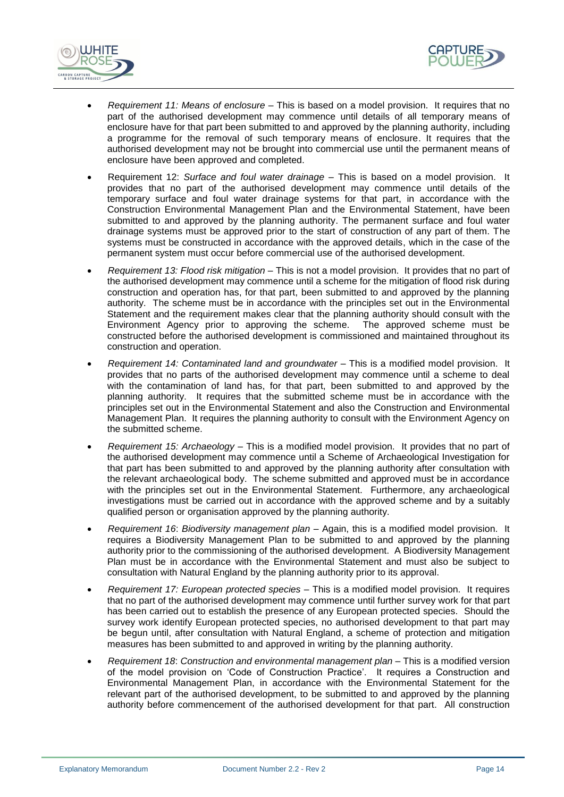



- *Requirement 11: Means of enclosure –* This is based on a model provision. It requires that no part of the authorised development may commence until details of all temporary means of enclosure have for that part been submitted to and approved by the planning authority, including a programme for the removal of such temporary means of enclosure. It requires that the authorised development may not be brought into commercial use until the permanent means of enclosure have been approved and completed.
- Requirement 12: *Surface and foul water drainage* This is based on a model provision. It provides that no part of the authorised development may commence until details of the temporary surface and foul water drainage systems for that part, in accordance with the Construction Environmental Management Plan and the Environmental Statement, have been submitted to and approved by the planning authority. The permanent surface and foul water drainage systems must be approved prior to the start of construction of any part of them. The systems must be constructed in accordance with the approved details, which in the case of the permanent system must occur before commercial use of the authorised development.
- *Requirement 13: Flood risk mitigation* This is not a model provision. It provides that no part of the authorised development may commence until a scheme for the mitigation of flood risk during construction and operation has, for that part, been submitted to and approved by the planning authority. The scheme must be in accordance with the principles set out in the Environmental Statement and the requirement makes clear that the planning authority should consult with the Environment Agency prior to approving the scheme. The approved scheme must be constructed before the authorised development is commissioned and maintained throughout its construction and operation.
- *Requirement 14: Contaminated land and groundwater* This is a modified model provision. It provides that no parts of the authorised development may commence until a scheme to deal with the contamination of land has, for that part, been submitted to and approved by the planning authority. It requires that the submitted scheme must be in accordance with the principles set out in the Environmental Statement and also the Construction and Environmental Management Plan. It requires the planning authority to consult with the Environment Agency on the submitted scheme.
- *Requirement 15: Archaeology* This is a modified model provision. It provides that no part of the authorised development may commence until a Scheme of Archaeological Investigation for that part has been submitted to and approved by the planning authority after consultation with the relevant archaeological body. The scheme submitted and approved must be in accordance with the principles set out in the Environmental Statement. Furthermore, any archaeological investigations must be carried out in accordance with the approved scheme and by a suitably qualified person or organisation approved by the planning authority.
- *Requirement 16*: *Biodiversity management plan –* Again, this is a modified model provision. It requires a Biodiversity Management Plan to be submitted to and approved by the planning authority prior to the commissioning of the authorised development. A Biodiversity Management Plan must be in accordance with the Environmental Statement and must also be subject to consultation with Natural England by the planning authority prior to its approval.
- *Requirement 17: European protected species* This is a modified model provision. It requires that no part of the authorised development may commence until further survey work for that part has been carried out to establish the presence of any European protected species. Should the survey work identify European protected species, no authorised development to that part may be begun until, after consultation with Natural England, a scheme of protection and mitigation measures has been submitted to and approved in writing by the planning authority.
- *Requirement 18*: *Construction and environmental management plan*  This is a modified version of the model provision on 'Code of Construction Practice'. It requires a Construction and Environmental Management Plan, in accordance with the Environmental Statement for the relevant part of the authorised development, to be submitted to and approved by the planning authority before commencement of the authorised development for that part. All construction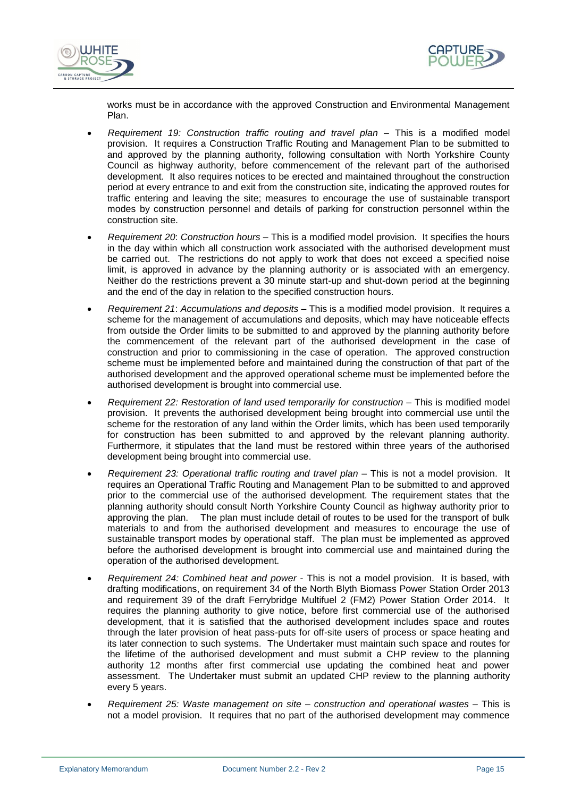



works must be in accordance with the approved Construction and Environmental Management Plan.

- *Requirement 19: Construction traffic routing and travel plan* This is a modified model provision. It requires a Construction Traffic Routing and Management Plan to be submitted to and approved by the planning authority, following consultation with North Yorkshire County Council as highway authority, before commencement of the relevant part of the authorised development. It also requires notices to be erected and maintained throughout the construction period at every entrance to and exit from the construction site, indicating the approved routes for traffic entering and leaving the site; measures to encourage the use of sustainable transport modes by construction personnel and details of parking for construction personnel within the construction site.
- *Requirement 20*: *Construction hours* This is a modified model provision. It specifies the hours in the day within which all construction work associated with the authorised development must be carried out. The restrictions do not apply to work that does not exceed a specified noise limit, is approved in advance by the planning authority or is associated with an emergency. Neither do the restrictions prevent a 30 minute start-up and shut-down period at the beginning and the end of the day in relation to the specified construction hours.
- *Requirement 21*: *Accumulations and deposits –* This is a modified model provision. It requires a scheme for the management of accumulations and deposits, which may have noticeable effects from outside the Order limits to be submitted to and approved by the planning authority before the commencement of the relevant part of the authorised development in the case of construction and prior to commissioning in the case of operation. The approved construction scheme must be implemented before and maintained during the construction of that part of the authorised development and the approved operational scheme must be implemented before the authorised development is brought into commercial use.
- *Requirement 22: Restoration of land used temporarily for construction –* This is modified model provision. It prevents the authorised development being brought into commercial use until the scheme for the restoration of any land within the Order limits, which has been used temporarily for construction has been submitted to and approved by the relevant planning authority. Furthermore, it stipulates that the land must be restored within three years of the authorised development being brought into commercial use.
- *Requirement 23: Operational traffic routing and travel plan –* This is not a model provision. It requires an Operational Traffic Routing and Management Plan to be submitted to and approved prior to the commercial use of the authorised development. The requirement states that the planning authority should consult North Yorkshire County Council as highway authority prior to approving the plan. The plan must include detail of routes to be used for the transport of bulk materials to and from the authorised development and measures to encourage the use of sustainable transport modes by operational staff. The plan must be implemented as approved before the authorised development is brought into commercial use and maintained during the operation of the authorised development.
- *Requirement 24: Combined heat and power*  This is not a model provision. It is based, with drafting modifications, on requirement 34 of the North Blyth Biomass Power Station Order 2013 and requirement 39 of the draft Ferrybridge Multifuel 2 (FM2) Power Station Order 2014. It requires the planning authority to give notice, before first commercial use of the authorised development, that it is satisfied that the authorised development includes space and routes through the later provision of heat pass-puts for off-site users of process or space heating and its later connection to such systems. The Undertaker must maintain such space and routes for the lifetime of the authorised development and must submit a CHP review to the planning authority 12 months after first commercial use updating the combined heat and power assessment. The Undertaker must submit an updated CHP review to the planning authority every 5 years.
- *Requirement 25: Waste management on site – construction and operational wastes –* This is not a model provision. It requires that no part of the authorised development may commence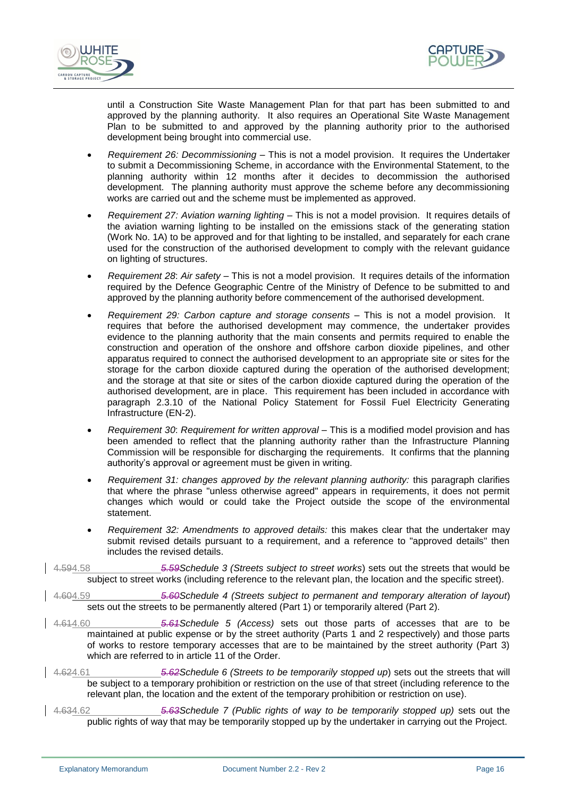



until a Construction Site Waste Management Plan for that part has been submitted to and approved by the planning authority. It also requires an Operational Site Waste Management Plan to be submitted to and approved by the planning authority prior to the authorised development being brought into commercial use.

- *Requirement 26: Decommissioning –* This is not a model provision. It requires the Undertaker to submit a Decommissioning Scheme, in accordance with the Environmental Statement, to the planning authority within 12 months after it decides to decommission the authorised development. The planning authority must approve the scheme before any decommissioning works are carried out and the scheme must be implemented as approved.
- *Requirement 27: Aviation warning lighting* This is not a model provision. It requires details of the aviation warning lighting to be installed on the emissions stack of the generating station (Work No. 1A) to be approved and for that lighting to be installed, and separately for each crane used for the construction of the authorised development to comply with the relevant guidance on lighting of structures.
- *Requirement 28*: *Air safety –* This is not a model provision. It requires details of the information required by the Defence Geographic Centre of the Ministry of Defence to be submitted to and approved by the planning authority before commencement of the authorised development.
- *Requirement 29: Carbon capture and storage consents* This is not a model provision. It requires that before the authorised development may commence, the undertaker provides evidence to the planning authority that the main consents and permits required to enable the construction and operation of the onshore and offshore carbon dioxide pipelines, and other apparatus required to connect the authorised development to an appropriate site or sites for the storage for the carbon dioxide captured during the operation of the authorised development; and the storage at that site or sites of the carbon dioxide captured during the operation of the authorised development, are in place. This requirement has been included in accordance with paragraph 2.3.10 of the National Policy Statement for Fossil Fuel Electricity Generating Infrastructure (EN-2).
- *Requirement 30*: *Requirement for written approval –* This is a modified model provision and has been amended to reflect that the planning authority rather than the Infrastructure Planning Commission will be responsible for discharging the requirements. It confirms that the planning authority's approval or agreement must be given in writing.
- *Requirement 31: changes approved by the relevant planning authority:* this paragraph clarifies that where the phrase "unless otherwise agreed" appears in requirements, it does not permit changes which would or could take the Project outside the scope of the environmental statement.
- *Requirement 32: Amendments to approved details:* this makes clear that the undertaker may submit revised details pursuant to a requirement, and a reference to "approved details" then includes the revised details.
- 4.594.58 *5.59Schedule 3 (Streets subject to street works*) sets out the streets that would be subject to street works (including reference to the relevant plan, the location and the specific street).
- 4.604.59 *5.60Schedule 4 (Streets subject to permanent and temporary alteration of layout*) sets out the streets to be permanently altered (Part 1) or temporarily altered (Part 2).
- 4.614.60 *5.61Schedule 5 (Access)* sets out those parts of accesses that are to be maintained at public expense or by the street authority (Parts 1 and 2 respectively) and those parts of works to restore temporary accesses that are to be maintained by the street authority (Part 3) which are referred to in article 11 of the Order.
- 4.624.61 *5.62Schedule 6 (Streets to be temporarily stopped up*) sets out the streets that will be subject to a temporary prohibition or restriction on the use of that street (including reference to the relevant plan, the location and the extent of the temporary prohibition or restriction on use).
- 4.634.62 *5.63Schedule 7 (Public rights of way to be temporarily stopped up)* sets out the public rights of way that may be temporarily stopped up by the undertaker in carrying out the Project.